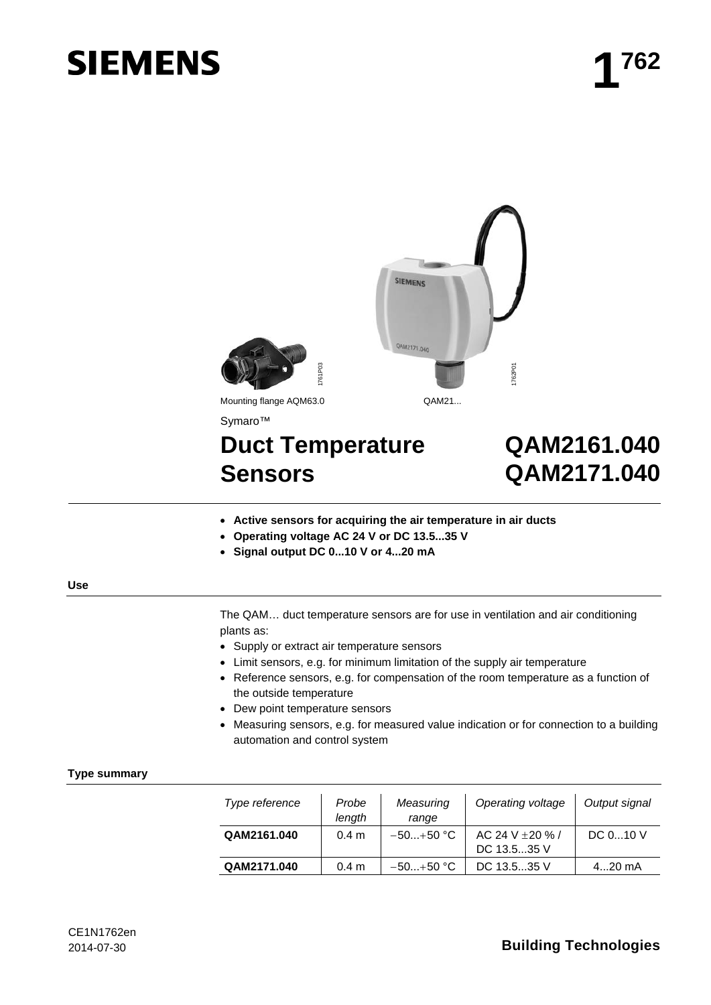# **SIEMENS**





Symaro™

# **Duct Temperature Sensors**

## **QAM2161.040 QAM2171.040**

- **Active sensors for acquiring the air temperature in air ducts**
- **Operating voltage AC 24 V or DC 13.5...35 V**
- **Signal output DC 0...10 V or 4...20 mA**

#### **Use**

- Supply or extract air temperature sensors
- Limit sensors, e.g. for minimum limitation of the supply air temperature
- Reference sensors, e.g. for compensation of the room temperature as a function of the outside temperature
- Dew point temperature sensors
- Measuring sensors, e.g. for measured value indication or for connection to a building automation and control system

#### **Type summary**

| 761P0                                                                                                                                                                       |                  |                    | 1762P01                                                                                                                                                                                                                                                                                                                                    |                            |
|-----------------------------------------------------------------------------------------------------------------------------------------------------------------------------|------------------|--------------------|--------------------------------------------------------------------------------------------------------------------------------------------------------------------------------------------------------------------------------------------------------------------------------------------------------------------------------------------|----------------------------|
| Mounting flange AQM63.0                                                                                                                                                     |                  | QAM21              |                                                                                                                                                                                                                                                                                                                                            |                            |
| Symaro™                                                                                                                                                                     |                  |                    |                                                                                                                                                                                                                                                                                                                                            |                            |
| <b>Duct Temperature</b><br><b>Sensors</b>                                                                                                                                   |                  |                    |                                                                                                                                                                                                                                                                                                                                            | QAM2161.040<br>QAM2171.040 |
| Active sensors for acquiring the air temperature in air ducts<br>Operating voltage AC 24 V or DC 13.535 V<br>Signal output DC 010 V or 420 mA                               |                  |                    |                                                                                                                                                                                                                                                                                                                                            |                            |
| olants as:<br>Supply or extract air temperature sensors<br>b<br>the outside temperature<br>Dew point temperature sensors<br>$\bullet$<br>D<br>automation and control system |                  |                    | The QAM duct temperature sensors are for use in ventilation and air conditioning<br>Limit sensors, e.g. for minimum limitation of the supply air temperature<br>Reference sensors, e.g. for compensation of the room temperature as a function of<br>Measuring sensors, e.g. for measured value indication or for connection to a building |                            |
| Type reference                                                                                                                                                              | Probe<br>length  | Measuring<br>range | Operating voltage                                                                                                                                                                                                                                                                                                                          | Output signal              |
| QAM2161.040                                                                                                                                                                 | 0.4 <sub>m</sub> | $-50+50$ °C        | AC 24 V ± 20 % /<br>DC 13.535 V                                                                                                                                                                                                                                                                                                            | DC 010 V                   |
| QAM2171.040                                                                                                                                                                 | 0.4 <sub>m</sub> | $-50+50$ °C        | DC 13.535 V                                                                                                                                                                                                                                                                                                                                | 420 mA                     |

### 2014-07-30 **Building Technologies**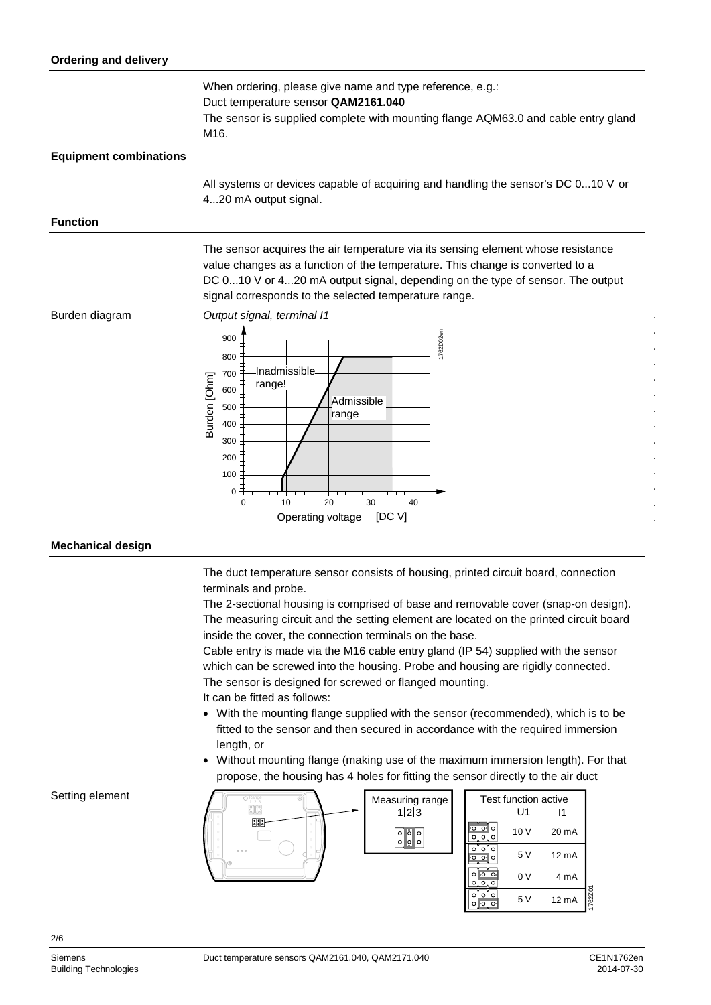| When ordering, please give name and type reference, e.g.:<br>Duct temperature sensor QAM2161.040<br>The sensor is supplied complete with mounting flange AQM63.0 and cable entry gland<br>M16.                                                                                                              |  |  |
|-------------------------------------------------------------------------------------------------------------------------------------------------------------------------------------------------------------------------------------------------------------------------------------------------------------|--|--|
|                                                                                                                                                                                                                                                                                                             |  |  |
| All systems or devices capable of acquiring and handling the sensor's DC 010 V or<br>420 mA output signal.                                                                                                                                                                                                  |  |  |
|                                                                                                                                                                                                                                                                                                             |  |  |
| The sensor acquires the air temperature via its sensing element whose resistance<br>value changes as a function of the temperature. This change is converted to a<br>DC 010 V or 420 mA output signal, depending on the type of sensor. The output<br>signal corresponds to the selected temperature range. |  |  |
| Output signal, terminal I1<br>762D02er<br>900<br>800<br>Inadmissible<br>700<br>Burden [Ohm]<br>range!<br>600<br>Admissible<br>500<br>range<br>400<br>300<br>200<br>100<br>0<br>20<br>30<br>$\Omega$<br>10<br>40<br>Operating voltage<br>[DC V]                                                              |  |  |
|                                                                                                                                                                                                                                                                                                             |  |  |

**Mechanical design**

The duct temperature sensor consists of housing, printed circuit board, connection terminals and probe.

The 2-sectional housing is comprised of base and removable cover (snap-on design). The measuring circuit and the setting element are located on the printed circuit board inside the cover, the connection terminals on the base.

Cable entry is made via the M16 cable entry gland (IP 54) supplied with the sensor which can be screwed into the housing. Probe and housing are rigidly connected. The sensor is designed for screwed or flanged mounting.

It can be fitted as follows:

- With the mounting flange supplied with the sensor (recommended), which is to be fitted to the sensor and then secured in accordance with the required immersion length, or
- Without mounting flange (making use of the maximum immersion length). For that propose, the housing has 4 holes for fitting the sensor directly to the air duct



#### Setting element

2/6

1762Z01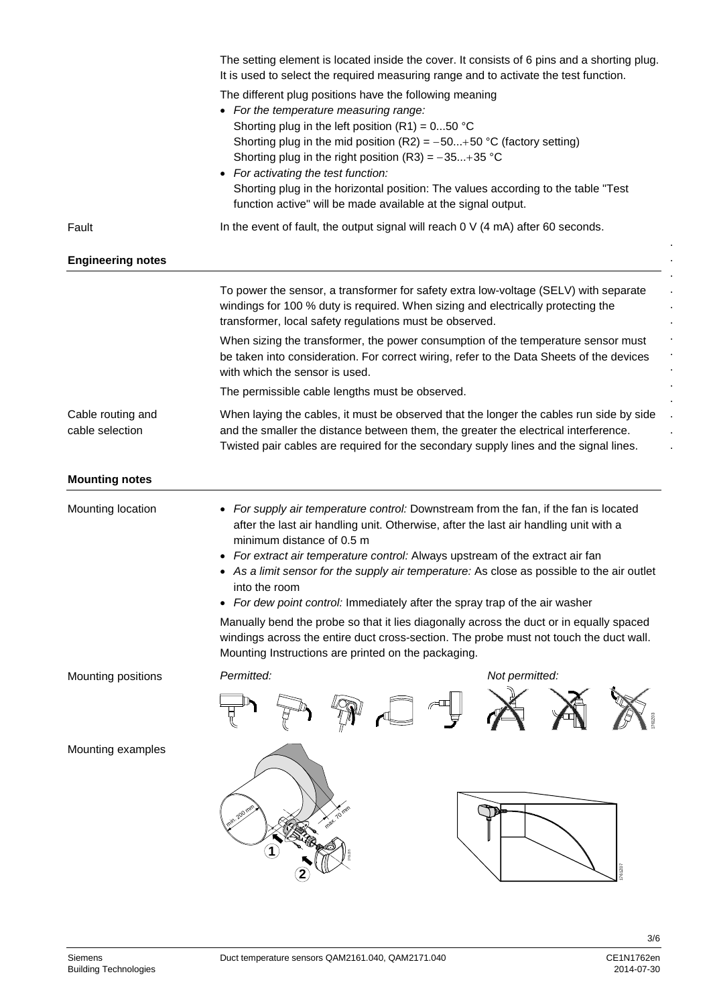|                                      | The setting element is located inside the cover. It consists of 6 pins and a shorting plug.<br>It is used to select the required measuring range and to activate the test function.                                                                                                                                                                                                                                                                                                                                                                                                                                                                                         |  |  |  |
|--------------------------------------|-----------------------------------------------------------------------------------------------------------------------------------------------------------------------------------------------------------------------------------------------------------------------------------------------------------------------------------------------------------------------------------------------------------------------------------------------------------------------------------------------------------------------------------------------------------------------------------------------------------------------------------------------------------------------------|--|--|--|
|                                      | The different plug positions have the following meaning<br>• For the temperature measuring range:<br>Shorting plug in the left position $(R1) = 050$ °C<br>Shorting plug in the mid position (R2) = $-50+50$ °C (factory setting)<br>Shorting plug in the right position (R3) = $-35+35$ °C<br>• For activating the test function:<br>Shorting plug in the horizontal position: The values according to the table "Test<br>function active" will be made available at the signal output.                                                                                                                                                                                    |  |  |  |
| Fault                                | In the event of fault, the output signal will reach 0 V (4 mA) after 60 seconds.                                                                                                                                                                                                                                                                                                                                                                                                                                                                                                                                                                                            |  |  |  |
| <b>Engineering notes</b>             |                                                                                                                                                                                                                                                                                                                                                                                                                                                                                                                                                                                                                                                                             |  |  |  |
|                                      | To power the sensor, a transformer for safety extra low-voltage (SELV) with separate<br>windings for 100 % duty is required. When sizing and electrically protecting the<br>transformer, local safety regulations must be observed.                                                                                                                                                                                                                                                                                                                                                                                                                                         |  |  |  |
|                                      | When sizing the transformer, the power consumption of the temperature sensor must<br>be taken into consideration. For correct wiring, refer to the Data Sheets of the devices<br>with which the sensor is used.                                                                                                                                                                                                                                                                                                                                                                                                                                                             |  |  |  |
|                                      | The permissible cable lengths must be observed.                                                                                                                                                                                                                                                                                                                                                                                                                                                                                                                                                                                                                             |  |  |  |
| Cable routing and<br>cable selection | When laying the cables, it must be observed that the longer the cables run side by side<br>and the smaller the distance between them, the greater the electrical interference.<br>Twisted pair cables are required for the secondary supply lines and the signal lines.                                                                                                                                                                                                                                                                                                                                                                                                     |  |  |  |
| <b>Mounting notes</b>                |                                                                                                                                                                                                                                                                                                                                                                                                                                                                                                                                                                                                                                                                             |  |  |  |
| Mounting location                    | • For supply air temperature control: Downstream from the fan, if the fan is located<br>after the last air handling unit. Otherwise, after the last air handling unit with a<br>minimum distance of 0.5 m<br>• For extract air temperature control: Always upstream of the extract air fan<br>• As a limit sensor for the supply air temperature: As close as possible to the air outlet<br>into the room<br>For dew point control: Immediately after the spray trap of the air washer<br>Manually bend the probe so that it lies diagonally across the duct or in equally spaced<br>windings across the entire duct cross-section. The probe must not touch the duct wall. |  |  |  |
|                                      | Mounting Instructions are printed on the packaging.                                                                                                                                                                                                                                                                                                                                                                                                                                                                                                                                                                                                                         |  |  |  |
| Mounting positions                   | Permitted:<br>Not permitted:                                                                                                                                                                                                                                                                                                                                                                                                                                                                                                                                                                                                                                                |  |  |  |
| Mounting examples                    | 200<br>$\gamma$<br>761207                                                                                                                                                                                                                                                                                                                                                                                                                                                                                                                                                                                                                                                   |  |  |  |

3/6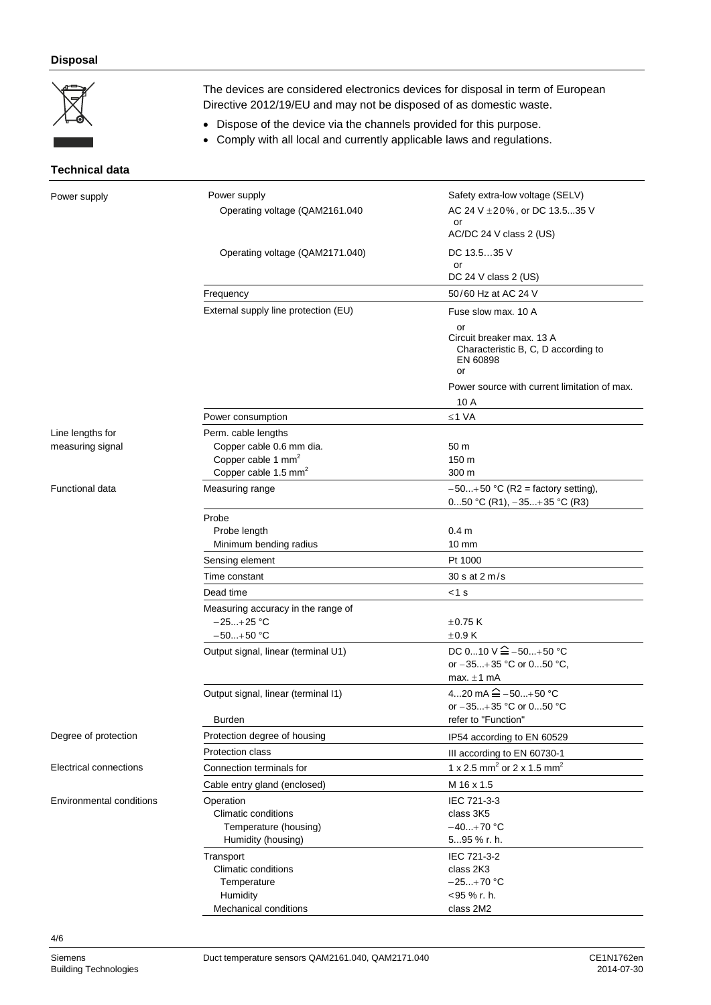### **Disposal**

|                                      | The devices are considered electronics devices for disposal in term of European<br>Directive 2012/19/EU and may not be disposed of as domestic waste.<br>Dispose of the device via the channels provided for this purpose.<br>Comply with all local and currently applicable laws and regulations. |                                                                                                                 |  |  |
|--------------------------------------|----------------------------------------------------------------------------------------------------------------------------------------------------------------------------------------------------------------------------------------------------------------------------------------------------|-----------------------------------------------------------------------------------------------------------------|--|--|
|                                      |                                                                                                                                                                                                                                                                                                    |                                                                                                                 |  |  |
| <b>Technical data</b>                |                                                                                                                                                                                                                                                                                                    |                                                                                                                 |  |  |
| Power supply                         | Power supply<br>Operating voltage (QAM2161.040                                                                                                                                                                                                                                                     | Safety extra-low voltage (SELV)<br>AC 24 V ± 20%, or DC 13.535 V<br>or<br>AC/DC 24 V class 2 (US)               |  |  |
|                                      | Operating voltage (QAM2171.040)                                                                                                                                                                                                                                                                    | DC 13.535 V<br>or                                                                                               |  |  |
|                                      |                                                                                                                                                                                                                                                                                                    | DC 24 V class 2 (US)                                                                                            |  |  |
|                                      | Frequency                                                                                                                                                                                                                                                                                          | 50/60 Hz at AC 24 V                                                                                             |  |  |
|                                      | External supply line protection (EU)                                                                                                                                                                                                                                                               | Fuse slow max. 10 A<br>or<br>Circuit breaker max. 13 A<br>Characteristic B, C, D according to<br>EN 60898<br>or |  |  |
|                                      |                                                                                                                                                                                                                                                                                                    | Power source with current limitation of max.                                                                    |  |  |
|                                      |                                                                                                                                                                                                                                                                                                    | 10 A                                                                                                            |  |  |
|                                      | Power consumption                                                                                                                                                                                                                                                                                  | $≤1 VA$                                                                                                         |  |  |
| Line lengths for<br>measuring signal | Perm. cable lengths<br>Copper cable 0.6 mm dia.<br>Copper cable 1 mm <sup>2</sup><br>Copper cable 1.5 mm <sup>2</sup>                                                                                                                                                                              | 50 m<br>150 m<br>300 m                                                                                          |  |  |
| <b>Functional data</b>               | Measuring range                                                                                                                                                                                                                                                                                    | $-50+50$ °C (R2 = factory setting),<br>050 °C (R1), $-35+35$ °C (R3)                                            |  |  |
|                                      | Probe<br>Probe length<br>Minimum bending radius                                                                                                                                                                                                                                                    | 0.4 <sub>m</sub><br>$10 \text{ mm}$                                                                             |  |  |
|                                      | Sensing element                                                                                                                                                                                                                                                                                    | Pt 1000                                                                                                         |  |  |
|                                      | Time constant                                                                                                                                                                                                                                                                                      | 30 s at 2 m/s                                                                                                   |  |  |
|                                      | Dead time<br>Measuring accuracy in the range of<br>$-25+25$ °C<br>$-50+50$ °C<br>Output signal, linear (terminal U1)                                                                                                                                                                               | $<$ 1 s<br>$\pm$ 0.75 K<br>±0.9K<br>DC 010 V $\hat{=}$ -50+50 °C<br>or $-35+35$ °C or 050 °C,                   |  |  |
|                                      | Output signal, linear (terminal I1)                                                                                                                                                                                                                                                                | max. $\pm 1$ mA<br>420 mA $\hat{=}$ -50+50 °C                                                                   |  |  |
|                                      | Burden                                                                                                                                                                                                                                                                                             | or -35+35 °C or 050 °C<br>refer to "Function"                                                                   |  |  |
| Degree of protection                 | Protection degree of housing                                                                                                                                                                                                                                                                       | IP54 according to EN 60529                                                                                      |  |  |
|                                      | <b>Protection class</b>                                                                                                                                                                                                                                                                            |                                                                                                                 |  |  |
| Electrical connections               | Connection terminals for                                                                                                                                                                                                                                                                           | III according to EN 60730-1<br>1 x 2.5 mm <sup>2</sup> or 2 x 1.5 mm <sup>2</sup>                               |  |  |
|                                      |                                                                                                                                                                                                                                                                                                    | M 16 x 1.5                                                                                                      |  |  |
| <b>Environmental conditions</b>      | Cable entry gland (enclosed)<br>Operation<br>Climatic conditions<br>Temperature (housing)<br>Humidity (housing)                                                                                                                                                                                    | IEC 721-3-3<br>class 3K5<br>$-40+70$ °C<br>595 % r. h.                                                          |  |  |
|                                      | Transport<br><b>Climatic conditions</b><br>Temperature<br>Humidity<br>Mechanical conditions                                                                                                                                                                                                        | IEC 721-3-2<br>class 2K3<br>$-25+70$ °C<br><95 % r. h.<br>class 2M2                                             |  |  |

4/6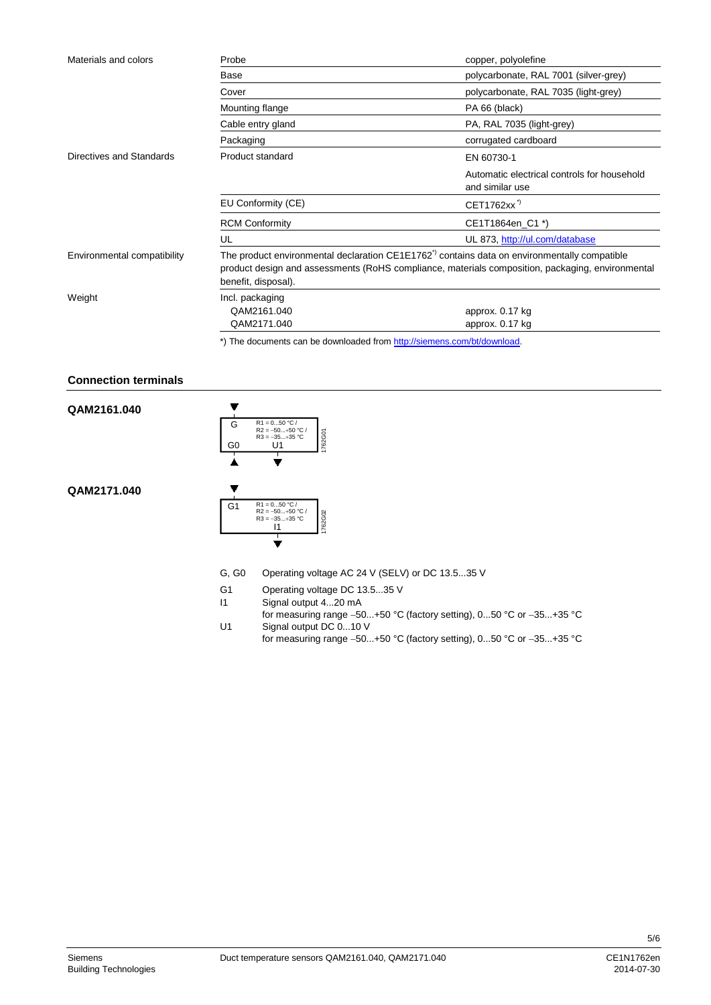| Materials and colors        | Probe                                                                                                                                                                                                                              | copper, polyolefine                                            |
|-----------------------------|------------------------------------------------------------------------------------------------------------------------------------------------------------------------------------------------------------------------------------|----------------------------------------------------------------|
|                             | Base                                                                                                                                                                                                                               | polycarbonate, RAL 7001 (silver-grey)                          |
|                             | Cover                                                                                                                                                                                                                              | polycarbonate, RAL 7035 (light-grey)                           |
|                             | Mounting flange                                                                                                                                                                                                                    | PA 66 (black)                                                  |
|                             | Cable entry gland                                                                                                                                                                                                                  | PA, RAL 7035 (light-grey)                                      |
|                             | Packaging                                                                                                                                                                                                                          | corrugated cardboard                                           |
| Directives and Standards    | <b>Product standard</b>                                                                                                                                                                                                            | EN 60730-1                                                     |
|                             |                                                                                                                                                                                                                                    | Automatic electrical controls for household<br>and similar use |
|                             | EU Conformity (CE)                                                                                                                                                                                                                 | CET1762xx <sup>"</sup>                                         |
|                             | <b>RCM Conformity</b>                                                                                                                                                                                                              | CE1T1864en C1 *)                                               |
|                             | UL                                                                                                                                                                                                                                 | UL 873, http://ul.com/database                                 |
| Environmental compatibility | The product environmental declaration CE1E1762 <sup>"</sup> contains data on environmentally compatible<br>product design and assessments (RoHS compliance, materials composition, packaging, environmental<br>benefit, disposal). |                                                                |
| Weight                      | Incl. packaging                                                                                                                                                                                                                    |                                                                |
|                             | QAM2161.040                                                                                                                                                                                                                        | approx. 0.17 kg                                                |
|                             | QAM2171.040                                                                                                                                                                                                                        | approx. 0.17 kg                                                |

\*) The documents can be downloaded from [http://siemens.com/bt/download.](http://siemens.com/bt/download)

#### **Connection terminals**

**QAM2161.040**

**QAM2171.040**



- G, G0 Operating voltage AC 24 V (SELV) or DC 13.5...35 V
- G1 Operating voltage DC 13.5...35 V<br>I1 Signal output 4...20 mA
	- Signal output 4...20 mA
- for measuring range −50...+50 °C (factory setting), 0...50 °C or −35...+35 °C U1 Signal output DC 0...10 V
	- for measuring range −50...+50 °C (factory setting), 0...50 °C or −35...+35 °C